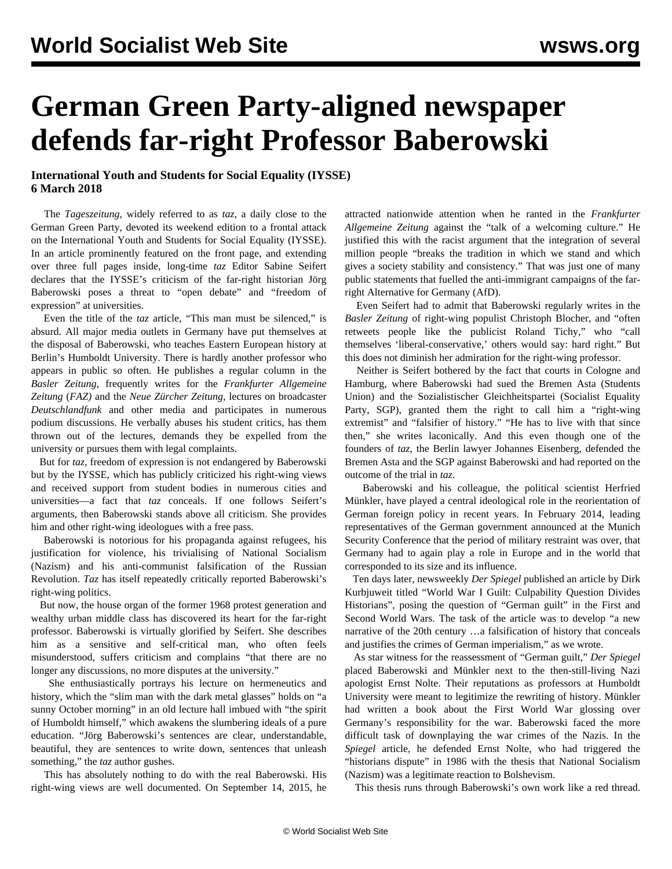## **German Green Party-aligned newspaper defends far-right Professor Baberowski**

## **International Youth and Students for Social Equality (IYSSE) 6 March 2018**

 The *Tageszeitung,* widely referred to as *taz,* a daily close to the German Green Party, devoted its weekend edition to a frontal attack on the International Youth and Students for Social Equality (IYSSE). In an article prominently featured on the front page, and extending over three full pages inside, long-time *taz* Editor Sabine Seifert declares that the IYSSE's criticism of the far-right historian Jörg Baberowski poses a threat to "open debate" and "freedom of expression" at universities.

 Even the title of the *taz* article, "This man must be silenced," is absurd. All major media outlets in Germany have put themselves at the disposal of Baberowski, who teaches Eastern European history at Berlin's Humboldt University. There is hardly another professor who appears in public so often. He publishes a regular column in the *Basler Zeitung*, frequently writes for the *Frankfurter Allgemeine Zeitung* (*FAZ)* and the *Neue Zürcher Zeitung*, lectures on broadcaster *Deutschlandfunk* and other media and participates in numerous podium discussions. He verbally abuses his student critics, has them thrown out of the lectures, demands they be expelled from the university or pursues them with legal complaints.

 But for *taz*, freedom of expression is not endangered by Baberowski but by the IYSSE, which has publicly criticized his right-wing views and received support from student bodies in numerous cities and universities—a fact that *taz* conceals. If one follows Seifert's arguments, then Baberowski stands above all criticism. She provides him and other right-wing ideologues with a free pass.

 Baberowski is notorious for his propaganda against refugees, his justification for violence, his trivialising of National Socialism (Nazism) and his anti-communist falsification of the Russian Revolution. *Taz* has itself repeatedly critically reported Baberowski's right-wing politics.

 But now, the house organ of the former 1968 protest generation and wealthy urban middle class has discovered its heart for the far-right professor. Baberowski is virtually glorified by Seifert. She describes him as a sensitive and self-critical man, who often feels misunderstood, suffers criticism and complains "that there are no longer any discussions, no more disputes at the university."

 She enthusiastically portrays his lecture on hermeneutics and history, which the "slim man with the dark metal glasses" holds on "a sunny October morning" in an old lecture hall imbued with "the spirit of Humboldt himself," which awakens the slumbering ideals of a pure education. "Jörg Baberowski's sentences are clear, understandable, beautiful, they are sentences to write down, sentences that unleash something," the *taz* author gushes.

 This has absolutely nothing to do with the real Baberowski. His right-wing views are well documented. On September 14, 2015, he attracted nationwide attention when he ranted in the *Frankfurter Allgemeine Zeitung* against the "talk of a welcoming culture." He justified this with the racist argument that the integration of several million people "breaks the tradition in which we stand and which gives a society stability and consistency." That was just one of many public statements that fuelled the anti-immigrant campaigns of the farright Alternative for Germany (AfD).

 Even Seifert had to admit that Baberowski regularly writes in the *Basler Zeitung* of right-wing populist Christoph Blocher, and "often retweets people like the publicist Roland Tichy," who "call themselves 'liberal-conservative,' others would say: hard right." But this does not diminish her admiration for the right-wing professor.

 Neither is Seifert bothered by the fact that courts in Cologne and Hamburg, where Baberowski had sued the Bremen Asta (Students Union) and the Sozialistischer Gleichheitspartei (Socialist Equality Party, SGP), granted them the right to call him a "right-wing extremist" and "falsifier of history." "He has to live with that since then," she writes laconically. And this even though one of the founders of *taz*, the Berlin lawyer Johannes Eisenberg, defended the Bremen Asta and the SGP against Baberowski and had reported on the outcome of the trial in *taz*.

 Baberowski and his colleague, the political scientist Herfried Münkler, have played a central ideological role in the reorientation of German foreign policy in recent years. In February 2014, leading representatives of the German government announced at the Munich Security Conference that the period of military restraint was over, that Germany had to again play a role in Europe and in the world that corresponded to its size and its influence.

 Ten days later, newsweekly *Der Spiegel* published an article by Dirk Kurbjuweit titled "World War I Guilt: Culpability Question Divides Historians", posing the question of "German guilt" in the First and Second World Wars. The task of the article was to develop "a new narrative of the 20th century …a falsification of history that conceals and justifies the crimes of German imperialism," as we [wrote.](/en/articles/2015/08/10/fore-a10.html)

 As star witness for the reassessment of "German guilt," *Der Spiegel* placed Baberowski and Münkler next to the then-still-living Nazi apologist Ernst Nolte. Their reputations as professors at Humboldt University were meant to legitimize the rewriting of history. Münkler had written a book about the First World War glossing over Germany's responsibility for the war. Baberowski faced the more difficult task of downplaying the war crimes of the Nazis. In the *Spiegel* article, he defended Ernst Nolte, who had triggered the "historians dispute" in 1986 with the thesis that National Socialism (Nazism) was a legitimate reaction to Bolshevism.

This thesis runs through Baberowski's own work like a red thread.